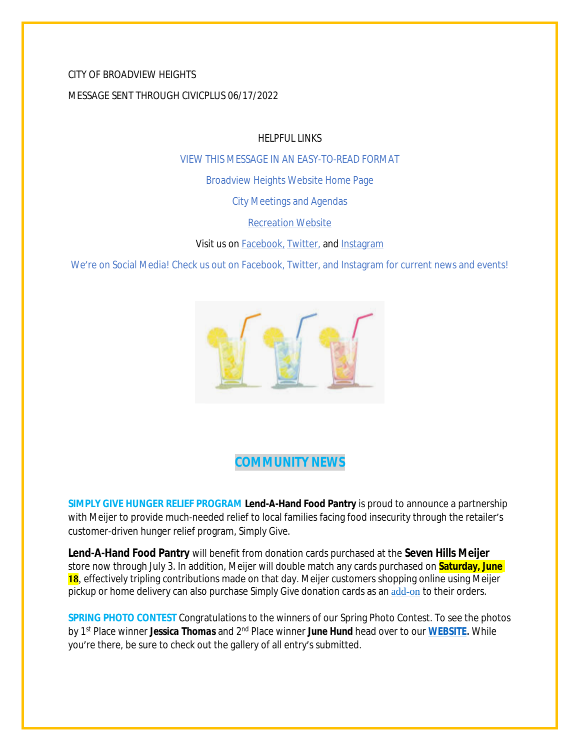# CITY OF BROADVIEW HEIGHTS MESSAGE SENT THROUGH CIVICPLUS 06/17/2022

HELPFUL LINKS

[VIEW THIS MESSAGE IN AN EASY-TO-READ FORMAT](https://www.broadview-heights.org/Archive.aspx?AMID=37)

[Broadview Heights Website Home Page](https://www.broadview-heights.org/)

[City Meetings and Agendas](https://www.broadview-heights.org/1126/Agendas-Meeting-Minutes)

[Recreation Website](https://broadview-heights.org/292/Parks-Recreation)

Visit us on **Facebook**, **Twitter**, and **[Instagram](https://www.instagram.com/cityofbroadviewheights/)** 

We're on Social Media! Check us out on Facebook, Twitter, and Instagram for current news and events!



# **COMMUNITY NEWS**

**SIMPLY GIVE HUNGER RELIEF PROGRAM Lend-A-Hand Food Pantry** is proud to announce a partnership with Meijer to provide much-needed relief to local families facing food insecurity through the retailer's customer-driven hunger relief program, *Simply Give*.

**Lend-A-Hand Food Pantry** will benefit from donation cards purchased at the **Seven Hills Meijer** store now through July 3. In addition, Meijer will double match any cards purchased on **Saturday, June** 18, effectively tripling contributions made on that day. Meijer customers shopping online using Meijer pickup or home delivery can also purchase *Simply Give* donation cards as an [add-on](https://www.meijer.com/shopping/product/simply-give-10-food-pantry-donation/70882088231.html?icid=Redirect:SimplyGive) to their orders.

**SPRING PHOTO CONTEST** Congratulations to the winners of our Spring Photo Contest. To see the photos by 1st Place winner *Jessica Thomas* and 2nd Place winner *June Hund* head over to our **[WEBSITE.](https://www.broadview-heights.org/1524/Spring-Photo-Contest)** While you're there, be sure to check out the gallery of all entry's submitted.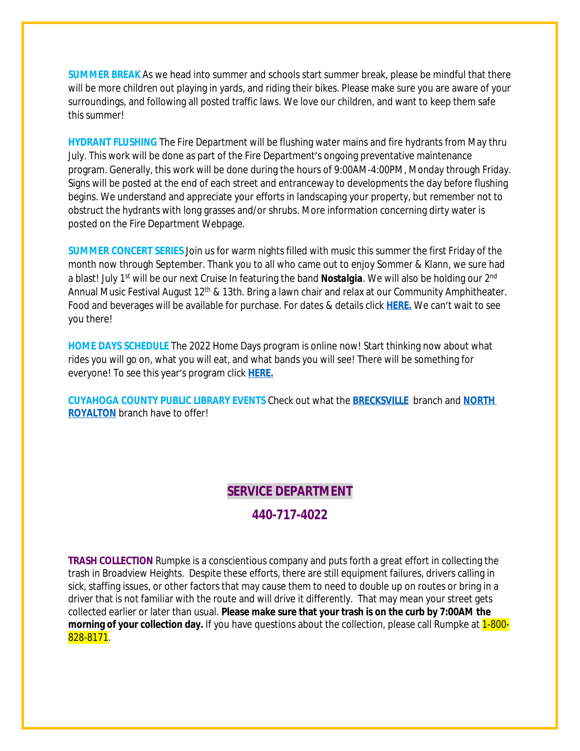**SUMMER BREAK** As we head into summer and schools start summer break, please be mindful that there will be more children out playing in yards, and riding their bikes. Please make sure you are aware of your surroundings, and following all posted traffic laws. We love our children, and want to keep them safe this summer!

**HYDRANT FLUSHING** The Fire Department will be flushing water mains and fire hydrants from May thru July. This work will be done as part of the Fire Department's ongoing preventative maintenance program. Generally, this work will be done during the hours of 9:00AM-4:00PM, Monday through Friday. Signs will be posted at the end of each street and entranceway to developments the day before flushing begins. We understand and appreciate your efforts in landscaping your property, but remember not to obstruct the hydrants with long grasses and/or shrubs. More information concerning dirty water is posted on the Fire Department Webpage.

**SUMMER CONCERT SERIES** Join us for warm nights filled with music this summer the first Friday of the month now through September. Thank you to all who came out to enjoy Sommer & Klann, we sure had a blast! July 1<sup>st</sup> will be our next Cruise In featuring the band **Nostalgia**. We will also be holding our 2<sup>nd</sup> Annual Music Festival August 12<sup>th</sup> & 13th. Bring a lawn chair and relax at our Community Amphitheater. Food and beverages will be available for purchase. For dates & details click **[HERE.](https://broadview-heights.org/ImageRepository/Document?documentId=9488)** We can't wait to see you there!

**HOME DAYS SCHEDULE** The 2022 Home Days program is online now! Start thinking now about what rides you will go on, what you will eat, and what bands you will see! There will be something for everyone! To see this year's program click **[HERE.](https://www.canva.com/design/DAE_rHLKtkA/AIFd_O5zMak0QjlSIEjVgQ/view?utm_content=DAE_rHLKtkA&utm_campaign=share_your_design&utm_medium=link&utm_source=shareyourdesignpanel%2311)**

**CUYAHOGA COUNTY PUBLIC LIBRARY EVENTS** Check out what the **[BRECKSVILLE](https://attend.cuyahogalibrary.org/events?r=thismonth)** branch and **[NORTH](https://attend.cuyahogalibrary.org/events?r=thismonth)  ROYALTON** branch have to offer!

#### **SERVICE DEPARTMENT**

# **440-717-4022**

**TRASH COLLECTION** Rumpke is a conscientious company and puts forth a great effort in collecting the trash in Broadview Heights. Despite these efforts, there are still equipment failures, drivers calling in sick, staffing issues, or other factors that may cause them to need to double up on routes or bring in a driver that is not familiar with the route and will drive it differently. That may mean your street gets collected earlier or later than usual. **Please make sure that your trash is on the curb by 7:00AM the morning of your collection day.** If you have questions about the collection, please call Rumpke at **1-800-**828-8171.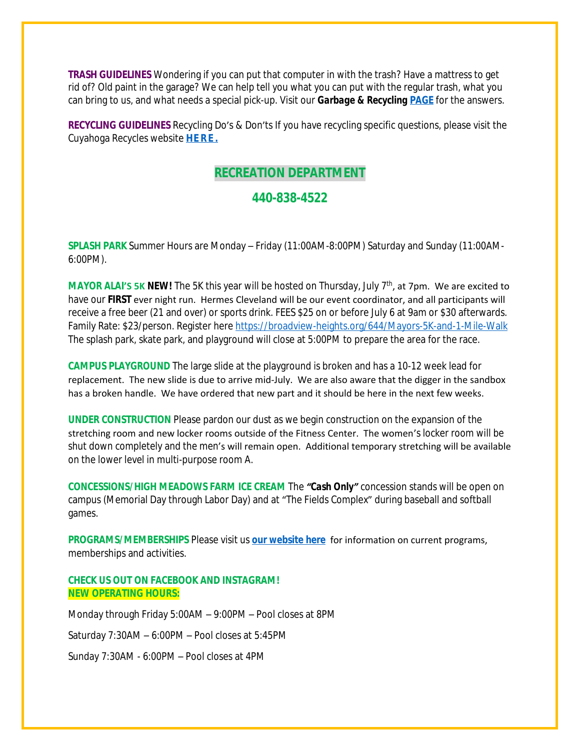**TRASH GUIDELINES** Wondering if you can put that computer in with the trash? Have a mattress to get rid of? Old paint in the garage? We can help tell you what you can put with the regular trash, what you can bring to us, and what needs a special pick-up. Visit our *Garbage & Recycling* **[PAGE](https://broadview-heights.org/1027/Garbage-Recycling)** for the answers.

**RECYCLING GUIDELINES** Recycling Do's & Don'ts If you have recycling specific questions, please visit the Cuyahoga Recycles website **[HERE.](https://cuyahogarecycles.org/how_to_recycle)**

### **RECREATION DEPARTMENT**

#### **440-838-4522**

**SPLASH PARK** Summer Hours are Monday – Friday (11:00AM-8:00PM) Saturday and Sunday (11:00AM-6:00PM).

**MAYOR ALAI'S 5K NEW!** The 5K this year will be hosted on Thursday, July 7<sup>th</sup>, at 7pm. We are excited to have our **FIRST** ever night run. Hermes Cleveland will be our event coordinator, and all participants will receive a free beer (21 and over) or sports drink. FEES \$25 on or before July 6 at 9am or \$30 afterwards. Family Rate: \$23/person. Register here <https://broadview-heights.org/644/Mayors-5K-and-1-Mile-Walk> The splash park, skate park, and playground will close at 5:00PM to prepare the area for the race.

**CAMPUS PLAYGROUND** The large slide at the playground is broken and has a 10-12 week lead for replacement. The new slide is due to arrive mid-July. We are also aware that the digger in the sandbox has a broken handle. We have ordered that new part and it should be here in the next few weeks.

**UNDER CONSTRUCTION** Please pardon our dust as we begin construction on the expansion of the stretching room and new locker rooms outside of the Fitness Center. The women's locker room will be shut down completely and the men's will remain open. Additional temporary stretching will be available on the lower level in multi-purpose room A.

**CONCESSIONS/HIGH MEADOWS FARM ICE CREAM** The *"Cash Only"* concession stands will be open on campus (Memorial Day through Labor Day) and at "The Fields Complex" during baseball and softball games.

**PROGRAMS/MEMBERSHIPS** Please visit us **[our website here](https://www.broadview-heights.org/292/Parks-Recreation)** for information on current programs, memberships and activities.

#### **CHECK US OUT ON FACEBOOK AND INSTAGRAM! NEW OPERATING HOURS:**

Monday through Friday 5:00AM – 9:00PM – Pool closes at 8PM Saturday 7:30AM – 6:00PM – Pool closes at 5:45PM Sunday 7:30AM - 6:00PM – Pool closes at 4PM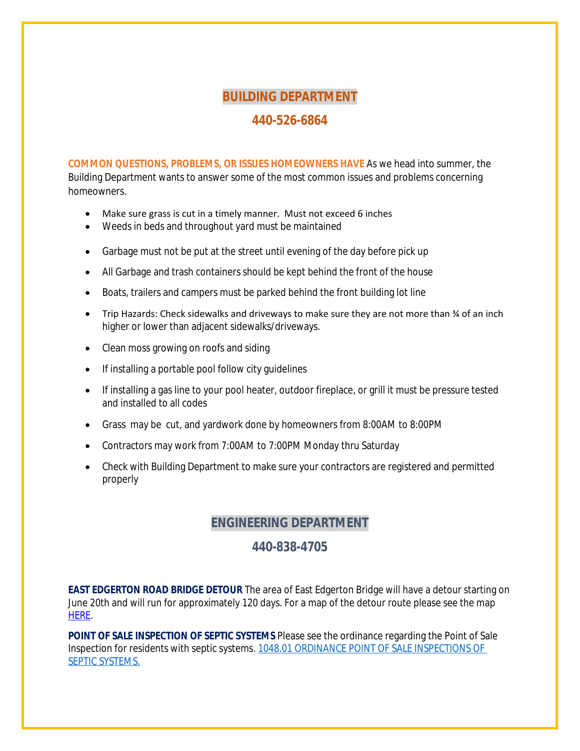#### **BUILDING DEPARTMENT**

### **440-526-6864**

**COMMON QUESTIONS, PROBLEMS, OR ISSUES HOMEOWNERS HAVE** As we head into summer, the Building Department wants to answer some of the most common issues and problems concerning homeowners.

- Make sure grass is cut in a timely manner. Must not exceed 6 inches
- Weeds in beds and throughout yard must be maintained
- Garbage must not be put at the street until evening of the day before pick up
- All Garbage and trash containers should be kept behind the front of the house
- Boats, trailers and campers must be parked behind the front building lot line
- Trip Hazards: Check sidewalks and driveways to make sure they are not more than ¾ of an inch higher or lower than adjacent sidewalks/driveways.
- Clean moss growing on roofs and siding
- If installing a portable pool follow city guidelines
- If installing a gas line to your pool heater, outdoor fireplace, or grill it must be pressure tested and installed to all codes
- Grass may be cut, and yardwork done by homeowners from 8:00AM to 8:00PM
- Contractors may work from 7:00AM to 7:00PM Monday thru Saturday
- Check with Building Department to make sure your contractors are registered and permitted properly

# **ENGINEERING DEPARTMENT**

#### **440-838-4705**

**EAST EDGERTON ROAD BRIDGE DETOUR** The area of East Edgerton Bridge will have a detour starting on June 20th and will run for approximately 120 days. For a map of the detour route please see the map [HERE.](https://www.facebook.com/photo/?fbid=337885605166630&set=a.238803055074886)

**POINT OF SALE INSPECTION OF SEPTIC SYSTEMS** Please see the ordinance regarding the Point of Sale Inspection for residents with septic systems. [1048.01 ORDINANCE POINT OF SALE INSPECTIONS OF](https://codelibrary.amlegal.com/codes/broadviewhts/latest/broadview_oh/0-0-0-13398)  SEPTIC SYSTEMS.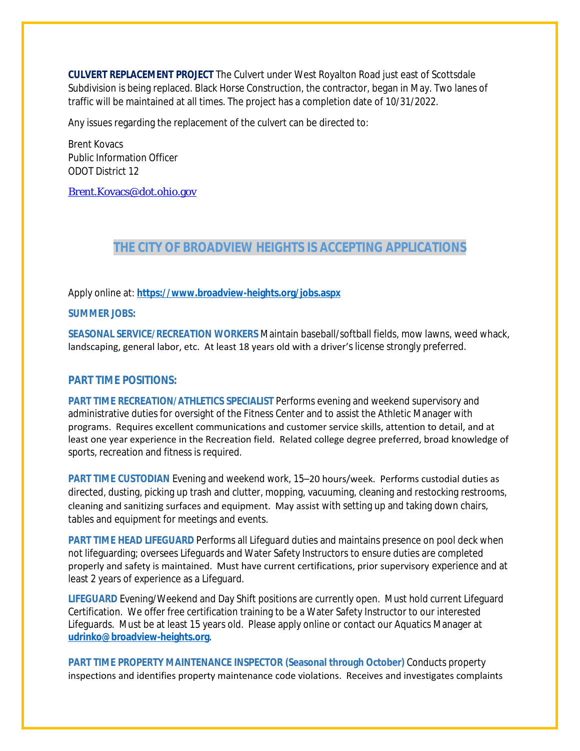**CULVERT REPLACEMENT PROJECT** The Culvert under West Royalton Road just east of Scottsdale Subdivision is being replaced. Black Horse Construction, the contractor, began in May. Two lanes of traffic will be maintained at all times. The project has a completion date of 10/31/2022.

Any issues regarding the replacement of the culvert can be directed to:

Brent Kovacs Public Information Officer ODOT District 12

[Brent.Kovacs@dot.ohio.gov](mailto:Brent.Kovacs@dot.ohio.gov)

### **THE CITY OF BROADVIEW HEIGHTS IS ACCEPTING APPLICATIONS**

Apply online at: **<https://www.broadview-heights.org/jobs.aspx>**

#### **SUMMER JOBS:**

**SEASONAL SERVICE/RECREATION WORKERS** Maintain baseball/softball fields, mow lawns, weed whack, landscaping, general labor, etc. At least 18 years old with a driver's license strongly preferred.

#### **PART TIME POSITIONS:**

**PART TIME RECREATION/ATHLETICS SPECIALIST** Performs evening and weekend supervisory and administrative duties for oversight of the Fitness Center and to assist the Athletic Manager with programs. Requires excellent communications and customer service skills, attention to detail, and at least one year experience in the Recreation field. Related college degree preferred, broad knowledge of sports, recreation and fitness is required.

**PART TIME CUSTODIAN** Evening and weekend work, 15–20 hours/week. Performs custodial duties as directed, dusting, picking up trash and clutter, mopping, vacuuming, cleaning and restocking restrooms, cleaning and sanitizing surfaces and equipment. May assist with setting up and taking down chairs, tables and equipment for meetings and events.

**PART TIME HEAD LIFEGUARD** Performs all Lifeguard duties and maintains presence on pool deck when not lifeguarding; oversees Lifeguards and Water Safety Instructors to ensure duties are completed properly and safety is maintained. Must have current certifications, prior supervisory experience and at least 2 years of experience as a Lifeguard.

**LIFEGUARD** Evening/Weekend and Day Shift positions are currently open. Must hold current Lifeguard Certification. We offer free certification training to be a Water Safety Instructor to our interested Lifeguards. Must be at least 15 years old. Please apply online or contact our Aquatics Manager at **[udrinko@broadview-heights.org](mailto:udrinko@broadview-heights.org)**.

**PART TIME PROPERTY MAINTENANCE INSPECTOR (Seasonal through October)** Conducts property inspections and identifies property maintenance code violations. Receives and investigates complaints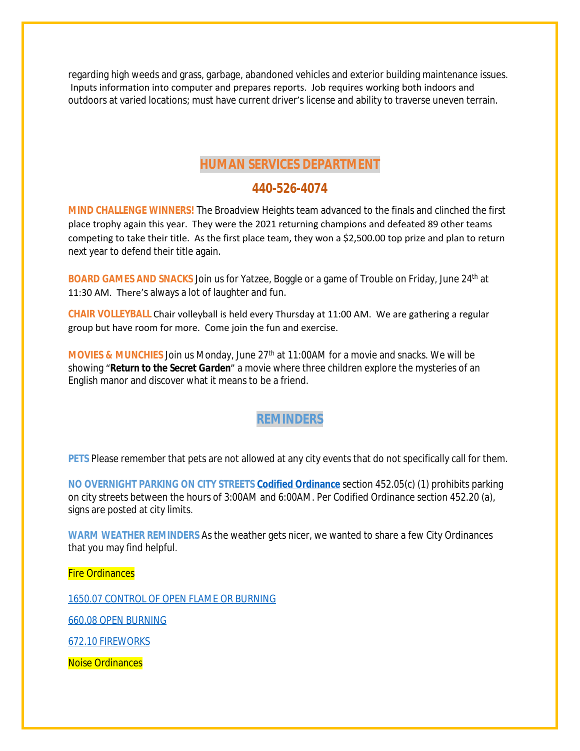regarding high weeds and grass, garbage, abandoned vehicles and exterior building maintenance issues. Inputs information into computer and prepares reports. Job requires working both indoors and outdoors at varied locations; must have current driver's license and ability to traverse uneven terrain.

### **HUMAN SERVICES DEPARTMENT**

### **440-526-4074**

**MIND CHALLENGE WINNERS!** The Broadview Heights team advanced to the finals and clinched the first place trophy again this year. They were the 2021 returning champions and defeated 89 other teams competing to take their title. As the first place team, they won a \$2,500.00 top prize and plan to return next year to defend their title again.

**BOARD GAMES AND SNACKS** Join us for Yatzee, Boggle or a game of Trouble on Friday, June 24<sup>th</sup> at 11:30 AM. There's always a lot of laughter and fun.

**CHAIR VOLLEYBALL** Chair volleyball is held every Thursday at 11:00 AM. We are gathering a regular group but have room for more. Come join the fun and exercise.

**MOVIES & MUNCHIES** Join us Monday, June 27<sup>th</sup> at 11:00AM for a movie and snacks. We will be showing "*Return to the Secret Garden*" a movie where three children explore the mysteries of an English manor and discover what it means to be a friend.

# **REMINDERS**

**PETS** Please remember that pets are not allowed at any city events that do not specifically call for them.

**NO OVERNIGHT PARKING ON CITY STREETS [Codified Ordinance](http://library.amlegal.com/nxt/gateway.dll/Ohio/broadviewhts/codifiedordinancesofbroadviewheightsohio?f=templates$fn=default.htm$3.0$vid=amlegal:broadviewhts_oh)** section 452.05(c) (1) prohibits parking on city streets between the hours of 3:00AM and 6:00AM. Per Codified Ordinance section 452.20 (a), signs are posted at city limits.

**WARM WEATHER REMINDERS** As the weather gets nicer, we wanted to share a few City Ordinances that you may find helpful.

Fire Ordinances

[1650.07 CONTROL OF OPEN FLAME OR BURNING](https://codelibrary.amlegal.com/codes/broadviewhts/latest/broadview_oh/0-0-0-19759#JD_1650.07)

[660.08 OPEN BURNING](https://codelibrary.amlegal.com/codes/broadviewhts/latest/broadview_oh/0-0-0-9310#JD_660.08)

[672.10 FIREWORKS](https://codelibrary.amlegal.com/codes/broadviewhts/latest/broadview_oh/0-0-0-10047#JD_672.10)

Noise Ordinances